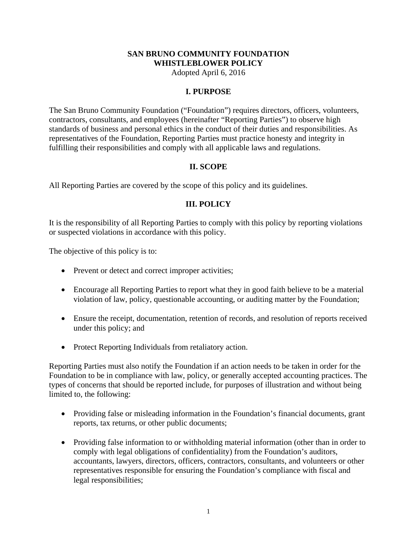## **SAN BRUNO COMMUNITY FOUNDATION WHISTLEBLOWER POLICY**

Adopted April 6, 2016

#### **I. PURPOSE**

The San Bruno Community Foundation ("Foundation") requires directors, officers, volunteers, contractors, consultants, and employees (hereinafter "Reporting Parties") to observe high standards of business and personal ethics in the conduct of their duties and responsibilities. As representatives of the Foundation, Reporting Parties must practice honesty and integrity in fulfilling their responsibilities and comply with all applicable laws and regulations.

### **II. SCOPE**

All Reporting Parties are covered by the scope of this policy and its guidelines.

# **III. POLICY**

It is the responsibility of all Reporting Parties to comply with this policy by reporting violations or suspected violations in accordance with this policy.

The objective of this policy is to:

- Prevent or detect and correct improper activities;
- Encourage all Reporting Parties to report what they in good faith believe to be a material violation of law, policy, questionable accounting, or auditing matter by the Foundation;
- Ensure the receipt, documentation, retention of records, and resolution of reports received under this policy; and
- Protect Reporting Individuals from retaliatory action.

Reporting Parties must also notify the Foundation if an action needs to be taken in order for the Foundation to be in compliance with law, policy, or generally accepted accounting practices. The types of concerns that should be reported include, for purposes of illustration and without being limited to, the following:

- Providing false or misleading information in the Foundation's financial documents, grant reports, tax returns, or other public documents;
- Providing false information to or withholding material information (other than in order to comply with legal obligations of confidentiality) from the Foundation's auditors, accountants, lawyers, directors, officers, contractors, consultants, and volunteers or other representatives responsible for ensuring the Foundation's compliance with fiscal and legal responsibilities;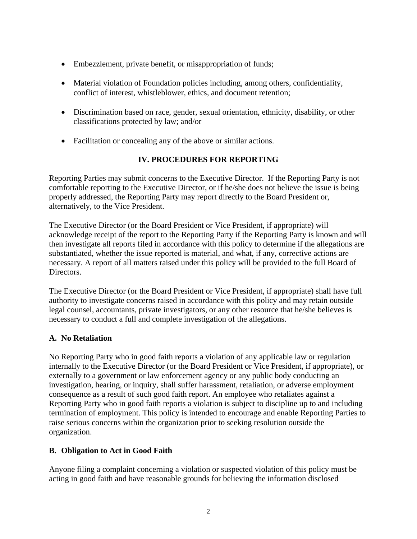- Embezzlement, private benefit, or misappropriation of funds;
- Material violation of Foundation policies including, among others, confidentiality, conflict of interest, whistleblower, ethics, and document retention;
- Discrimination based on race, gender, sexual orientation, ethnicity, disability, or other classifications protected by law; and/or
- Facilitation or concealing any of the above or similar actions.

# **IV. PROCEDURES FOR REPORTING**

Reporting Parties may submit concerns to the Executive Director. If the Reporting Party is not comfortable reporting to the Executive Director, or if he/she does not believe the issue is being properly addressed, the Reporting Party may report directly to the Board President or, alternatively, to the Vice President.

The Executive Director (or the Board President or Vice President, if appropriate) will acknowledge receipt of the report to the Reporting Party if the Reporting Party is known and will then investigate all reports filed in accordance with this policy to determine if the allegations are substantiated, whether the issue reported is material, and what, if any, corrective actions are necessary. A report of all matters raised under this policy will be provided to the full Board of Directors.

The Executive Director (or the Board President or Vice President, if appropriate) shall have full authority to investigate concerns raised in accordance with this policy and may retain outside legal counsel, accountants, private investigators, or any other resource that he/she believes is necessary to conduct a full and complete investigation of the allegations.

### **A. No Retaliation**

No Reporting Party who in good faith reports a violation of any applicable law or regulation internally to the Executive Director (or the Board President or Vice President, if appropriate), or externally to a government or law enforcement agency or any public body conducting an investigation, hearing, or inquiry, shall suffer harassment, retaliation, or adverse employment consequence as a result of such good faith report. An employee who retaliates against a Reporting Party who in good faith reports a violation is subject to discipline up to and including termination of employment. This policy is intended to encourage and enable Reporting Parties to raise serious concerns within the organization prior to seeking resolution outside the organization.

### **B. Obligation to Act in Good Faith**

Anyone filing a complaint concerning a violation or suspected violation of this policy must be acting in good faith and have reasonable grounds for believing the information disclosed